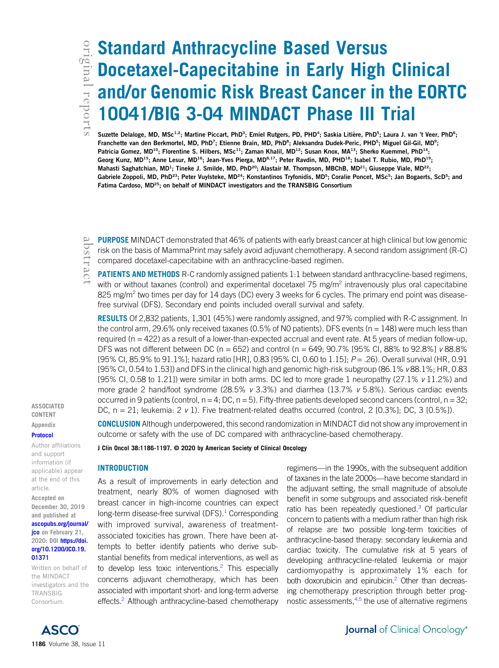# End Standard Anthracycline Based Versus<br>
End Docetaxel-Capecitabine in Early High<br>
and/or Genomic Risk Breast Cancer in<br>
End 10041/BIG 3-04 MINDACT Phase III T Docetaxel-Capecitabine in Early High Clinical and/or Genomic Risk Breast Cancer in the EORTC 10041/BIG 3-04 MINDACT Phase III Trial

Suzette Delaloge, MD, MSc<sup>1,2</sup>; Martine Piccart, PhD<sup>3</sup>; Emiel Rutgers, PD, PHD<sup>4</sup>; Saskia Litière, PhD<sup>5</sup>; Laura J. van 't Veer, PhD<sup>6</sup>; Franchette van den Berkmortel, MD, PhD<sup>7</sup>; Etienne Brain, MD, PhD<sup>8</sup>; Aleksandra Dudek-Peric, PHD<sup>5</sup>; Miguel Gil-Gil, MD<sup>9</sup>; Patricia Gomez, MD<sup>10</sup>; Florentine S. Hilbers, MSc<sup>11</sup>; Zaman Khalil, MD<sup>12</sup>; Susan Knox, MA<sup>13</sup>; Sherko Kuemmel, PhD<sup>14</sup>; Georg Kunz, MD<sup>15</sup>; Anne Lesur, MD<sup>16</sup>; Jean-Yves Pierga, MD<sup>8,17</sup>; Peter Ravdin, MD, PHD<sup>18</sup>; Isabel T. Rubio, MD, PhD<sup>19</sup>; Mahasti Saghatchian, MD<sup>1</sup>; Tineke J. Smilde, MD, PhD<sup>20</sup>; Alastair M. Thompson, MBChB, MD<sup>21</sup>; Giuseppe Viale, MD<sup>22</sup>; Gabriele Zoppoli, MD, PhD<sup>23</sup>; Peter Vuylsteke, MD<sup>24</sup>; Konstantinos Tryfonidis, MD<sup>5</sup>; Coralie Poncet, MSc<sup>5</sup>; Jan Bogaerts, ScD<sup>5</sup>; and Fatima Cardoso, MD<sup>25</sup>; on behalf of MINDACT investigators and the TRANSBIG Consortium

PURPOSE MINDACT demonstrated that 46% of patients with early breast cancer at high clinical but low genomic risk on the basis of MammaPrint may safely avoid adjuvant chemotherapy. A second random assignment (R-C) compared docetaxel-capecitabine with an anthracycline-based regimen.

PATIENTS AND METHODS R-C randomly assigned patients 1:1 between standard anthracycline-based regimens, with or without taxanes (control) and experimental docetaxel 75 mg/m<sup>2</sup> intravenously plus oral capecitabine 825 mg/ $m<sup>2</sup>$  two times per day for 14 days (DC) every 3 weeks for 6 cycles. The primary end point was diseasefree survival (DFS). Secondary end points included overall survival and safety.

RESULTS Of 2,832 patients, 1,301 (45%) were randomly assigned, and 97% complied with R-C assignment. In the control arm, 29.6% only received taxanes (0.5% of N0 patients). DFS events (n = 148) were much less than required (n = 422) as a result of a lower-than-expected accrual and event rate. At 5 years of median follow-up, DFS was not different between DC ( $n = 652$ ) and control ( $n = 649$ ; 90.7% [95% CI, 88% to 92.8%] v 88.8% [95% CI, 85.9% to 91.1%]; hazard ratio [HR], 0.83 [95% CI, 0.60 to 1.15]; P = .26). Overall survival (HR, 0.91 [95% CI, 0.54 to 1.53]) and DFS in the clinical high and genomic high-risk subgroup (86.1% v 88.1%; HR, 0.83 [95% CI, 0.58 to 1.21]) were similar in both arms. DC led to more grade 1 neuropathy (27.1% v 11.2%) and more grade 2 hand/foot syndrome (28.5%  $v$  3.3%) and diarrhea (13.7%  $v$  5.8%). Serious cardiac events occurred in 9 patients (control,  $n = 4$ ; DC,  $n = 5$ ). Fifty-three patients developed second cancers (control,  $n = 32$ ; DC,  $n = 21$ ; leukemia: 2  $v$  1). Five treatment-related deaths occurred (control, 2 [0.3%]; DC, 3 [0.5%]).

CONCLUSION Although underpowered, this second randomization in MINDACT did not show any improvement in outcome or safety with the use of DC compared with anthracycline-based chemotherapy.

J Clin Oncol 38:1186-1197. © 2020 by American Society of Clinical Oncology

# INTRODUCTION

As a result of improvements in early detection and treatment, nearly 80% of women diagnosed with breast cancer in high-income countries can expect long-term disease-free survival (DFS).<sup>[1](#page-11-0)</sup> Corresponding with improved survival, awareness of treatmentassociated toxicities has grown. There have been attempts to better identify patients who derive substantial benefits from medical interventions, as well as to develop less toxic interventions.<sup>2</sup> This especially concerns adjuvant chemotherapy, which has been associated with important short- and long-term adverse effects[.2](#page-11-1) Although anthracycline-based chemotherapy

regimens—in the 1990s, with the subsequent addition of taxanes in the late 2000s—have become standard in the adjuvant setting, the small magnitude of absolute benefit in some subgroups and associated risk-benefit ratio has been repeatedly questioned. $3$  Of particular concern to patients with a medium rather than high risk of relapse are two possible long-term toxicities of anthracycline-based therapy: secondary leukemia and cardiac toxicity. The cumulative risk at 5 years of developing anthracycline-related leukemia or major cardiomyopathy is approximately 1% each for both doxorubicin and epirubicin.<sup>2</sup> Other than decreasing chemotherapy prescription through better prognostic assessments, $4,5$  $4,5$  $4,5$  the use of alternative regimens

**ASSOCIATED** CONTENT Appendix

## [Protocol](https://ascopubs.org/doi/suppl/10.1200/JCO.19.01371)

Author affiliations and support information (if applicable) appear at the end of this article.

Accepted on December 30, 2019 and published at [ascopubs.org/journal/](http://ascopubs.org/journal/jco) [jco](http://ascopubs.org/journal/jco) on February 21, 2020: DOI [https://doi.](http://ascopubs.org/doi/full/10.1200/JCO.19.01371) [org/10.1200/JCO.19.](http://ascopubs.org/doi/full/10.1200/JCO.19.01371) [01371](http://ascopubs.org/doi/full/10.1200/JCO.19.01371)

Written on behalf of the MINDACT investigators and the TRANSBIG Consortium.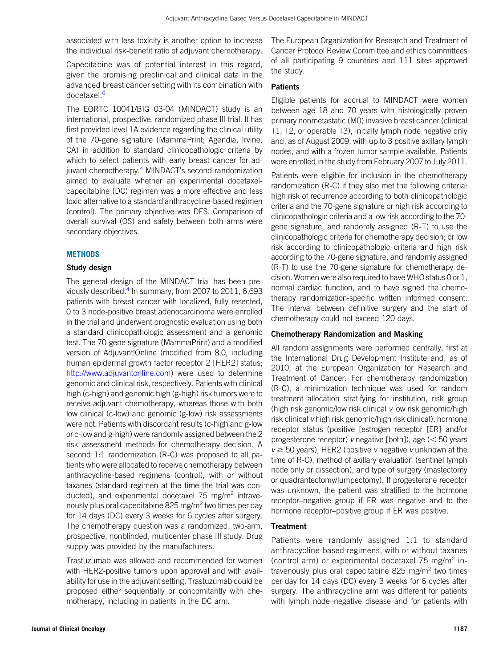associated with less toxicity is another option to increase the individual risk-benefit ratio of adjuvant chemotherapy.

Capecitabine was of potential interest in this regard, given the promising preclinical and clinical data in the advanced breast cancer setting with its combination with docetaxel.<sup>[6](#page-11-5)</sup>

The EORTC 10041/BIG 03-04 (MINDACT) study is an international, prospective, randomized phase III trial. It has first provided level 1A evidence regarding the clinical utility of the 70-gene signature (MammaPrint; Agendia, Irvine, CA) in addition to standard clinicopathologic criteria by which to select patients with early breast cancer for ad-juvant chemotherapy.<sup>[4](#page-11-3)</sup> MINDACT's second randomization aimed to evaluate whether an experimental docetaxelcapecitabine (DC) regimen was a more effective and less toxic alternative to a standard anthracycline-based regimen (control). The primary objective was DFS. Comparison of overall survival (OS) and safety between both arms were secondary objectives.

# **METHODS**

# Study design

The general design of the MINDACT trial has been previously described[.4](#page-11-3) In summary, from 2007 to 2011, 6,693 patients with breast cancer with localized, fully resected, 0 to 3 node-positive breast adenocarcinoma were enrolled in the trial and underwent prognostic evaluation using both a standard clinicopathologic assessment and a genomic test. The 70-gene signature (MammaPrint) and a modified version of Adjuvant!Online (modified from 8.0, including human epidermal growth factor receptor 2 [HER2] status; <http://www.adjuvantonline.com>) were used to determine genomic and clinical risk, respectively. Patients with clinical high (c-high) and genomic high (g-high) risk tumors were to receive adjuvant chemotherapy, whereas those with both low clinical (c-low) and genomic (g-low) risk assessments were not. Patients with discordant results (c-high and g-low or c-low and g-high) were randomly assigned between the 2 risk assessment methods for chemotherapy decision. A second 1:1 randomization (R-C) was proposed to all patients who were allocated to receive chemotherapy between anthracycline-based regimens (control), with or without taxanes (standard regimen at the time the trial was conducted), and experimental docetaxel 75 mg/m<sup>2</sup> intravenously plus oral capecitabine 825 mg/m<sup>2</sup> two times per day for 14 days (DC) every 3 weeks for 6 cycles after surgery. The chemotherapy question was a randomized, two-arm, prospective, nonblinded, multicenter phase III study. Drug supply was provided by the manufacturers.

Trastuzumab was allowed and recommended for women with HER2-positive tumors upon approval and with availability for use in the adjuvant setting. Trastuzumab could be proposed either sequentially or concomitantly with chemotherapy, including in patients in the DC arm.

The European Organization for Research and Treatment of Cancer Protocol Review Committee and ethics committees of all participating 9 countries and 111 sites approved the study.

# **Patients**

Eligible patients for accrual to MINDACT were women between age 18 and 70 years with histologically proven primary nonmetastatic (M0) invasive breast cancer (clinical T1, T2, or operable T3), initially lymph node negative only and, as of August 2009, with up to 3 positive axillary lymph nodes, and with a frozen tumor sample available. Patients were enrolled in the study from February 2007 to July 2011.

Patients were eligible for inclusion in the chemotherapy randomization (R-C) if they also met the following criteria: high risk of recurrence according to both clinicopathologic criteria and the 70-gene signature or high risk according to clinicopathologic criteria and a low risk according to the 70 gene signature, and randomly assigned (R-T) to use the clinicopathologic criteria for chemotherapy decision; or low risk according to clinicopathologic criteria and high risk according to the 70-gene signature, and randomly assigned (R-T) to use the 70-gene signature for chemotherapy decision. Women were also required to have WHO status 0 or 1, normal cardiac function, and to have signed the chemotherapy randomization-specific written informed consent. The interval between definitive surgery and the start of chemotherapy could not exceed 120 days.

# Chemotherapy Randomization and Masking

All random assignments were performed centrally, first at the International Drug Development Institute and, as of 2010, at the European Organization for Research and Treatment of Cancer. For chemotherapy randomization (R-C), a minimization technique was used for random treatment allocation stratifying for institution, risk group (high risk genomic/low risk clinical v low risk genomic/high risk clinical v high risk genomic/high risk clinical), hormone receptor status (positive [estrogen receptor [ER] and/or progesterone receptor)  $\nu$  negative [both]), age ( $<$  50 years  $v \ge 50$  years), HER2 (positive v negative v unknown at the time of R-C), method of axillary evaluation (sentinel lymph node only or dissection), and type of surgery (mastectomy or quadrantectomy/lumpectomy). If progesterone receptor was unknown, the patient was stratified to the hormone receptor–negative group if ER was negative and to the hormone receptor–positive group if ER was positive.

# **Treatment**

Patients were randomly assigned 1:1 to standard anthracycline-based regimens, with or without taxanes (control arm) or experimental docetaxel 75 mg/m<sup>2</sup> intravenously plus oral capecitabine 825 mg/ $m<sup>2</sup>$  two times per day for 14 days (DC) every 3 weeks for 6 cycles after surgery. The anthracycline arm was different for patients with lymph node–negative disease and for patients with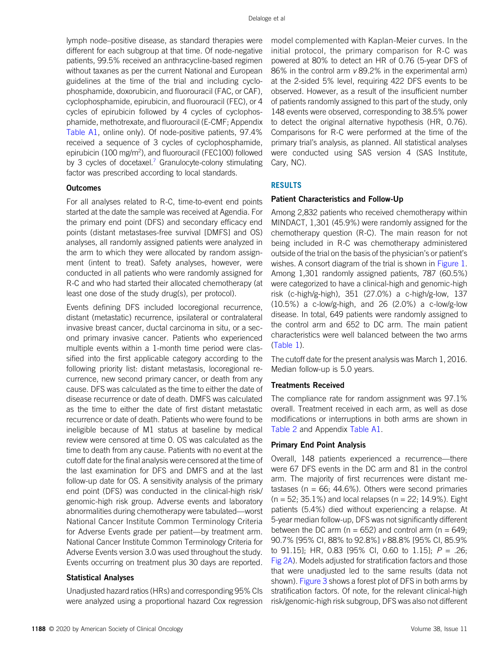lymph node–positive disease, as standard therapies were different for each subgroup at that time. Of node-negative patients, 99.5% received an anthracycline-based regimen without taxanes as per the current National and European guidelines at the time of the trial and including cyclophosphamide, doxorubicin, and fluorouracil (FAC, or CAF), cyclophosphamide, epirubicin, and fluorouracil (FEC), or 4 cycles of epirubicin followed by 4 cycles of cyclophosphamide, methotrexate, and fluorouracil (E-CMF; Appendix [Table A1,](#page-14-0) online only). Of node-positive patients, 97.4% received a sequence of 3 cycles of cyclophosphamide, epirubicin (100 mg/m<sup>2</sup>), and fluorouracil (FEC100) followed by 3 cycles of docetaxel.<sup>7</sup> Granulocyte-colony stimulating factor was prescribed according to local standards.

# **Outcomes**

For all analyses related to R-C, time-to-event end points started at the date the sample was received at Agendia. For the primary end point (DFS) and secondary efficacy end points (distant metastases-free survival [DMFS] and OS) analyses, all randomly assigned patients were analyzed in the arm to which they were allocated by random assignment (intent to treat). Safety analyses, however, were conducted in all patients who were randomly assigned for R-C and who had started their allocated chemotherapy (at least one dose of the study drug(s), per protocol).

Events defining DFS included locoregional recurrence, distant (metastatic) recurrence, ipsilateral or contralateral invasive breast cancer, ductal carcinoma in situ, or a second primary invasive cancer. Patients who experienced multiple events within a 1-month time period were classified into the first applicable category according to the following priority list: distant metastasis, locoregional recurrence, new second primary cancer, or death from any cause. DFS was calculated as the time to either the date of disease recurrence or date of death. DMFS was calculated as the time to either the date of first distant metastatic recurrence or date of death. Patients who were found to be ineligible because of M1 status at baseline by medical review were censored at time 0. OS was calculated as the time to death from any cause. Patients with no event at the cutoff date for the final analysis were censored at the time of the last examination for DFS and DMFS and at the last follow-up date for OS. A sensitivity analysis of the primary end point (DFS) was conducted in the clinical-high risk/ genomic-high risk group. Adverse events and laboratory abnormalities during chemotherapy were tabulated—worst National Cancer Institute Common Terminology Criteria for Adverse Events grade per patient—by treatment arm. National Cancer Institute Common Terminology Criteria for Adverse Events version 3.0 was used throughout the study. Events occurring on treatment plus 30 days are reported.

# Statistical Analyses

Unadjusted hazard ratios (HRs) and corresponding 95% CIs were analyzed using a proportional hazard Cox regression

model complemented with Kaplan-Meier curves. In the initial protocol, the primary comparison for R-C was powered at 80% to detect an HR of 0.76 (5-year DFS of 86% in the control arm v 89.2% in the experimental arm) at the 2-sided 5% level, requiring 422 DFS events to be observed. However, as a result of the insufficient number of patients randomly assigned to this part of the study, only 148 events were observed, corresponding to 38.5% power to detect the original alternative hypothesis (HR, 0.76). Comparisons for R-C were performed at the time of the primary trial's analysis, as planned. All statistical analyses were conducted using SAS version 4 (SAS Institute, Cary, NC).

# **RESULTS**

## Patient Characteristics and Follow-Up

Among 2,832 patients who received chemotherapy within MINDACT, 1,301 (45.9%) were randomly assigned for the chemotherapy question (R-C). The main reason for not being included in R-C was chemotherapy administered outside of the trial on the basis of the physician's or patient's wishes. A consort diagram of the trial is shown in [Figure 1](#page-3-0). Among 1,301 randomly assigned patients, 787 (60.5%) were categorized to have a clinical-high and genomic-high risk (c-high/g-high), 351 (27.0%) a c-high/g-low, 137 (10.5%) a c-low/g-high, and 26 (2.0%) a c-low/g-low disease. In total, 649 patients were randomly assigned to the control arm and 652 to DC arm. The main patient characteristics were well balanced between the two arms ([Table 1](#page-4-0)).

The cutoff date for the present analysis was March 1, 2016. Median follow-up is 5.0 years.

## Treatments Received

The compliance rate for random assignment was 97.1% overall. Treatment received in each arm, as well as dose modifications or interruptions in both arms are shown in [Table 2](#page-6-0) and Appendix [Table A1.](#page-14-0)

## Primary End Point Analysis

Overall, 148 patients experienced a recurrence—there were 67 DFS events in the DC arm and 81 in the control arm. The majority of first recurrences were distant metastases ( $n = 66$ ; 44.6%). Others were second primaries  $(n = 52, 35.1\%)$  and local relapses  $(n = 22, 14.9\%).$  Eight patients (5.4%) died without experiencing a relapse. At 5-year median follow-up, DFS was not significantly different between the DC arm ( $n = 652$ ) and control arm ( $n = 649$ ; 90.7% [95% CI, 88% to 92.8%] v 88.8% [95% CI, 85.9% to 91.15]; HR, 0.83 [95% CI, 0.60 to 1.15];  $P = .26$ ; [Fig 2A](#page-7-0)). Models adjusted for stratification factors and those that were unadjusted led to the same results (data not shown). [Figure 3](#page-8-0) shows a forest plot of DFS in both arms by stratification factors. Of note, for the relevant clinical-high risk/genomic-high risk subgroup, DFS was also not different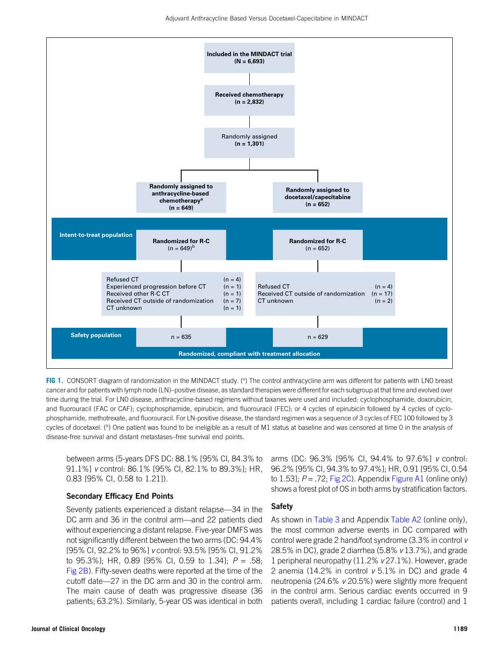

<span id="page-3-0"></span>FIG 1. CONSORT diagram of randomization in the MINDACT study. (<sup>a</sup>) The control anthracycline arm was different for patients with LNO breast cancer and for patients with lymph node (LN)–positive disease, as standard therapies were different for each subgroup at that time and evolved over time during the trial. For LN0 disease, anthracycline-based regimens without taxanes were used and included: cyclophosphamide, doxorubicin, and fluorouracil (FAC or CAF); cyclophosphamide, epirubicin, and fluorouracil (FEC); or 4 cycles of epirubicin followed by 4 cycles of cyclophosphamide, methotrexate, and fluorouracil. For LN-positive disease, the standard regimen was a sequence of 3 cycles of FEC 100 followed by 3 cycles of docetaxel. (<sup>b</sup>) One patient was found to be ineligible as a result of M1 status at baseline and was censored at time 0 in the analysis of disease-free survival and distant metastases–free survival end points.

between arms (5-years DFS DC: 88.1% [95% CI, 84.3% to 91.1%] v control: 86.1% [95% CI, 82.1% to 89.3%]; HR, 0.83 [95% CI, 0.58 to 1.21]).

# Secondary Efficacy End Points

Seventy patients experienced a distant relapse—34 in the DC arm and 36 in the control arm—and 22 patients died without experiencing a distant relapse. Five-year DMFS was not significantly different between the two arms (DC: 94.4% [95% CI, 92.2% to 96%] v control: 93.5% [95% CI, 91.2% to 95.3%]; HR, 0.89 [95% CI, 0.59 to 1.34];  $P = .58$ ; [Fig 2B\)](#page-7-0). Fifty-seven deaths were reported at the time of the cutoff date—27 in the DC arm and 30 in the control arm. The main cause of death was progressive disease (36 patients; 63.2%). Similarly, 5-year OS was identical in both

arms (DC: 96.3% [95% CI, 94.4% to 97.6%] v control: 96.2% [95% CI, 94.3% to 97.4%]; HR, 0.91 [95% CI, 0.54 to 1.53];  $P = .72$ ; [Fig 2C\)](#page-7-0). Appendix [Figure A1](#page-13-0) (online only) shows a forest plot of OS in both arms by stratification factors.

# Safety

As shown in [Table 3](#page-9-0) and Appendix [Table A2](#page-15-0) (online only), the most common adverse events in DC compared with control were grade 2 hand/foot syndrome (3.3% in control v 28.5% in DC), grade 2 diarrhea (5.8%  $v$  13.7%), and grade 1 peripheral neuropathy (11.2% v 27.1%). However, grade 2 anemia (14.2% in control v 5.1% in DC) and grade 4 neutropenia (24.6% v 20.5%) were slightly more frequent in the control arm. Serious cardiac events occurred in 9 patients overall, including 1 cardiac failure (control) and 1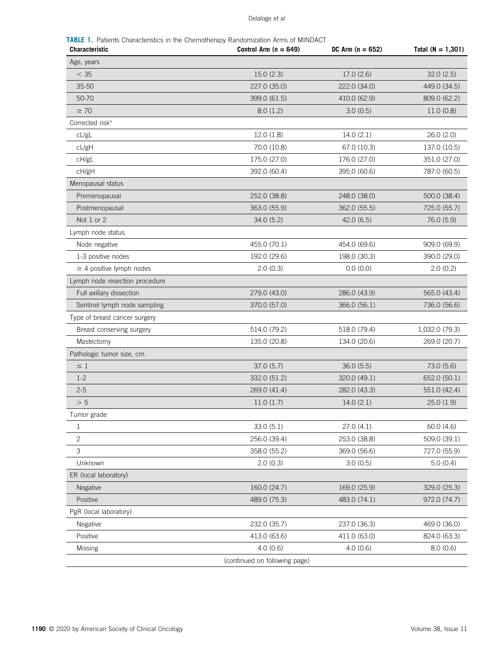# Delaloge et al

| <b>Characteristic</b>          | Control Arm ( $n = 649$ )     | DC Arm $(n = 652)$ | Total $(N = 1,301)$ |
|--------------------------------|-------------------------------|--------------------|---------------------|
| Age, years                     |                               |                    |                     |
| $<$ 35                         | 15.0(2.3)                     | 17.0(2.6)          | 32.0(2.5)           |
| 35-50                          | 227.0 (35.0)                  | 222.0 (34.0)       | 449.0 (34.5)        |
| 50-70                          | 399.0 (61.5)                  | 410.0 (62.9)       | 809.0 (62.2)        |
| $\geq 70$                      | 8.0(1.2)                      | 3.0(0.5)           | 11.0(0.8)           |
| Corrected risk <sup>a</sup>    |                               |                    |                     |
| cL/gL                          | 12.0 (1.8)                    | 14.0 (2.1)         | 26.0(2.0)           |
| cL/gH                          | 70.0 (10.8)                   | 67.0 (10.3)        | 137.0 (10.5)        |
| cH/gL                          | 175.0 (27.0)                  | 176.0 (27.0)       | 351.0 (27.0)        |
| cH/gH                          | 392.0 (60.4)                  | 395.0 (60.6)       | 787.0 (60.5)        |
| Menopausal status              |                               |                    |                     |
| Premenopausal                  | 252.0 (38.8)                  | 248.0 (38.0)       | 500.0 (38.4)        |
| Postmenopausal                 | 363.0 (55.9)                  | 362.0 (55.5)       | 725.0 (55.7)        |
| Not 1 or 2                     | 34.0(5.2)                     | 42.0(6.5)          | 76.0 (5.9)          |
| Lymph node status              |                               |                    |                     |
| Node negative                  | 455.0 (70.1)                  | 454.0 (69.6)       | 909.0 (69.9)        |
| 1-3 positive nodes             | 192.0 (29.6)                  | 198.0 (30.3)       | 390.0 (29.0)        |
| $\geq$ 4 positive lymph nodes  | 2.0(0.3)                      | 0.0(0.0)           | 2.0(0.2)            |
| Lymph node resection procedure |                               |                    |                     |
| Full axillary dissection       | 279.0 (43.0)                  | 286.0 (43.9)       | 565.0 (43.4)        |
| Sentinel lymph node sampling   | 370.0 (57.0)                  | 366.0 (56.1)       | 736.0 (56.6)        |
| Type of breast cancer surgery  |                               |                    |                     |
| Breast conserving surgery      | 514.0 (79.2)                  | 518.0 (79.4)       | 1,032.0 (79.3)      |
| Mastectomy                     | 135.0 (20.8)                  | 134.0 (20.6)       | 269.0 (20.7)        |
| Pathologic tumor size, cm      |                               |                    |                     |
| $\leq 1$                       | 37.0(5.7)                     | 36.0(5.5)          | 73.0 (5.6)          |
| $1 - 2$                        | 332.0 (51.2)                  | 320.0 (49.1)       | 652.0 (50.1)        |
| $2 - 5$                        | 269.0 (41.4)                  | 282.0 (43.3)       | 551.0 (42.4)        |
| > 5                            | 11.0(1.7)                     | 14.0(2.1)          | 25.0(1.9)           |
| Tumor grade                    |                               |                    |                     |
| 1                              | 33.0 (5.1)                    | 27.0 (4.1)         | 60.0 (4.6)          |
| $\mathbf{2}$                   | 256.0 (39.4)                  | 253.0 (38.8)       | 509.0 (39.1)        |
| 3                              | 358.0 (55.2)                  | 369.0 (56.6)       | 727.0 (55.9)        |
| Unknown                        | 2.0(0.3)                      | 3.0(0.5)           | 5.0(0.4)            |
| ER (local laboratory)          |                               |                    |                     |
| Negative                       | 160.0 (24.7)                  | 169.0 (25.9)       | 329.0 (25.3)        |
| Positive                       | 489.0 (75.3)                  | 483.0 (74.1)       | 972.0 (74.7)        |
| PgR (local laboratory)         |                               |                    |                     |
| Negative                       | 232.0 (35.7)                  | 237.0 (36.3)       | 469.0 (36.0)        |
| Positive                       | 413.0 (63.6)                  | 411.0 (63.0)       | 824.0 (63.3)        |
| Missing                        | 4.0(0.6)                      | 4.0(0.6)           | 8.0(0.6)            |
|                                | (continued on following page) |                    |                     |

<span id="page-4-0"></span>TABLE 1. Patients Characteristics in the Chemotherapy Randomization Arms of MINDACT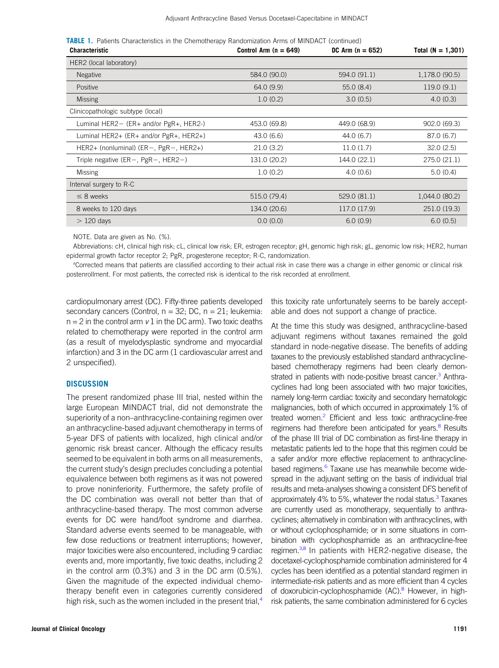TABLE 1. Patients Characteristics in the Chemotherapy Randomization Arms of MINDACT (continued)

| <b>Characteristic</b>                        | Control Arm ( $n = 649$ ) | DC Arm $(n = 652)$ | Total ( $N = 1,301$ ) |
|----------------------------------------------|---------------------------|--------------------|-----------------------|
| HER2 (local laboratory)                      |                           |                    |                       |
| <b>Negative</b>                              | 584.0 (90.0)              | 594.0 (91.1)       | 1,178.0 (90.5)        |
| Positive                                     | 64.0 (9.9)                | 55.0 (8.4)         | 119.0(9.1)            |
| <b>Missing</b>                               | 1.0(0.2)                  | 3.0(0.5)           | 4.0(0.3)              |
| Clinicopathologic subtype (local)            |                           |                    |                       |
| Luminal HER2- (ER+ and/or PgR+, HER2-)       | 453.0 (69.8)              | 449.0 (68.9)       | 902.0 (69.3)          |
| Luminal HER2+ (ER+ and/or PgR+, HER2+)       | 43.0 (6.6)                | 44.0 (6.7)         | 87.0 (6.7)            |
| HER2+ (nonluminal) ( $ER-$ , $PgR-$ , HER2+) | 21.0(3.2)                 | 11.0(1.7)          | 32.0(2.5)             |
| Triple negative ( $ER-$ , $PgR-$ , HER2-)    | 131.0 (20.2)              | 144.0 (22.1)       | 275.0 (21.1)          |
| <b>Missing</b>                               | 1.0(0.2)                  | 4.0(0.6)           | 5.0(0.4)              |
| Interval surgery to R-C                      |                           |                    |                       |
| $\leq$ 8 weeks                               | 515.0 (79.4)              | 529.0 (81.1)       | 1,044.0 (80.2)        |
| 8 weeks to 120 days                          | 134.0 (20.6)              | 117.0 (17.9)       | 251.0 (19.3)          |
| $>120$ days                                  | 0.0(0.0)                  | 6.0(0.9)           | 6.0(0.5)              |
|                                              |                           |                    |                       |

NOTE. Data are given as No. (%).

Abbreviations: cH, clinical high risk; cL, clinical low risk; ER, estrogen receptor; gH, genomic high risk; gL, genomic low risk; HER2, human epidermal growth factor receptor 2; PgR, progesterone receptor; R-C, randomization.

<sup>a</sup>Corrected means that patients are classified according to their actual risk in case there was a change in either genomic or clinical risk postenrollment. For most patients, the corrected risk is identical to the risk recorded at enrollment.

cardiopulmonary arrest (DC). Fifty-three patients developed secondary cancers (Control,  $n = 32$ ; DC,  $n = 21$ ; leukemia:  $n = 2$  in the control arm  $v1$  in the DC arm). Two toxic deaths related to chemotherapy were reported in the control arm (as a result of myelodysplastic syndrome and myocardial infarction) and 3 in the DC arm (1 cardiovascular arrest and 2 unspecified).

## **DISCUSSION**

The present randomized phase III trial, nested within the large European MINDACT trial, did not demonstrate the superiority of a non–anthracycline-containing regimen over an anthracycline-based adjuvant chemotherapy in terms of 5-year DFS of patients with localized, high clinical and/or genomic risk breast cancer. Although the efficacy results seemed to be equivalent in both arms on all measurements, the current study's design precludes concluding a potential equivalence between both regimens as it was not powered to prove noninferiority. Furthermore, the safety profile of the DC combination was overall not better than that of anthracycline-based therapy. The most common adverse events for DC were hand/foot syndrome and diarrhea. Standard adverse events seemed to be manageable, with few dose reductions or treatment interruptions; however, major toxicities were also encountered, including 9 cardiac events and, more importantly, five toxic deaths, including 2 in the control arm (0.3%) and 3 in the DC arm (0.5%). Given the magnitude of the expected individual chemotherapy benefit even in categories currently considered high risk, such as the women included in the present trial, $4$ 

Journal of Clinical Oncology 1191

this toxicity rate unfortunately seems to be barely acceptable and does not support a change of practice.

At the time this study was designed, anthracycline-based adjuvant regimens without taxanes remained the gold standard in node-negative disease. The benefits of adding taxanes to the previously established standard anthracyclinebased chemotherapy regimens had been clearly demon-strated in patients with node-positive breast cancer.<sup>[3](#page-11-2)</sup> Anthracyclines had long been associated with two major toxicities, namely long-term cardiac toxicity and secondary hematologic malignancies, both of which occurred in approximately 1% of treated women.<sup>2</sup> Efficient and less toxic anthracycline-free regimens had therefore been anticipated for years.<sup>[8](#page-11-7)</sup> Results of the phase III trial of DC combination as first-line therapy in metastatic patients led to the hope that this regimen could be a safer and/or more effective replacement to anthracycline-based regimens.<sup>[6](#page-11-5)</sup> Taxane use has meanwhile become widespread in the adjuvant setting on the basis of individual trial results and meta-analyses showing a consistent DFS benefit of approximately 4% to 5%, whatever the nodal status.<sup>3</sup> Taxanes are currently used as monotherapy, sequentially to anthracyclines; alternatively in combination with anthracyclines, with or without cyclophosphamide; or in some situations in combination with cyclophosphamide as an anthracycline-free regimen.<sup>3[,8](#page-11-7)</sup> In patients with HER2-negative disease, the docetaxel-cyclophosphamide combination administered for 4 cycles has been identified as a potential standard regimen in intermediate-risk patients and as more efficient than 4 cycles of doxorubicin-cyclophosphamide  $(AC)$ .<sup>[8](#page-11-7)</sup> However, in highrisk patients, the same combination administered for 6 cycles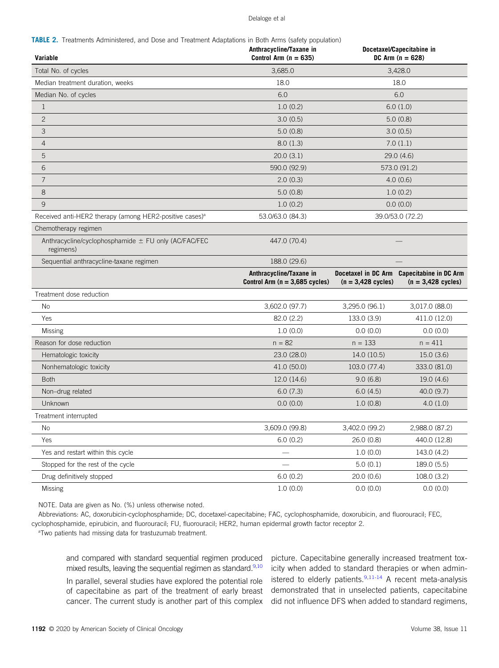#### Delaloge et al

#### <span id="page-6-0"></span>TABLE 2. Treatments Administered, and Dose and Treatment Adaptations in Both Arms (safety population)

| Variable                                                            | Anthracycline/Taxane in<br>Control Arm ( $n = 635$ )         |                      | Docetaxel/Capecitabine in<br>DC Arm $(n = 628)$                    |  |
|---------------------------------------------------------------------|--------------------------------------------------------------|----------------------|--------------------------------------------------------------------|--|
| Total No. of cycles                                                 | 3,685.0                                                      |                      | 3,428.0                                                            |  |
| Median treatment duration, weeks                                    | 18.0                                                         | 18.0                 |                                                                    |  |
| Median No. of cycles                                                | 6.0                                                          | 6.0                  |                                                                    |  |
| $\mathbf{1}$                                                        | 1.0(0.2)                                                     |                      | 6.0(1.0)                                                           |  |
| $\overline{c}$                                                      | 3.0(0.5)                                                     |                      | 5.0(0.8)                                                           |  |
| 3                                                                   | 5.0(0.8)                                                     |                      | 3.0(0.5)                                                           |  |
| $\overline{4}$                                                      | 8.0(1.3)                                                     |                      | 7.0(1.1)                                                           |  |
| 5                                                                   | 20.0(3.1)                                                    |                      | 29.0 (4.6)                                                         |  |
| 6                                                                   | 590.0 (92.9)                                                 |                      | 573.0 (91.2)                                                       |  |
| $\overline{7}$                                                      | 2.0(0.3)                                                     |                      | 4.0(0.6)                                                           |  |
| 8                                                                   | 5.0(0.8)                                                     |                      | 1.0(0.2)                                                           |  |
| 9                                                                   | 1.0(0.2)                                                     |                      | 0.0(0.0)                                                           |  |
| Received anti-HER2 therapy (among HER2-positive cases) <sup>a</sup> | 53.0/63.0 (84.3)                                             |                      | 39.0/53.0 (72.2)                                                   |  |
| Chemotherapy regimen                                                |                                                              |                      |                                                                    |  |
| Anthracycline/cyclophosphamide ± FU only (AC/FAC/FEC<br>regimens)   | 447.0 (70.4)                                                 |                      |                                                                    |  |
| Sequential anthracycline-taxane regimen                             | 188.0 (29.6)                                                 |                      |                                                                    |  |
|                                                                     |                                                              |                      |                                                                    |  |
|                                                                     | Anthracycline/Taxane in<br>Control Arm ( $n = 3,685$ cycles) | $(n = 3,428$ cycles) | Docetaxel in DC Arm Capecitabine in DC Arm<br>$(n = 3,428$ cycles) |  |
| Treatment dose reduction                                            |                                                              |                      |                                                                    |  |
| No                                                                  | 3,602.0 (97.7)                                               | 3,295.0 (96.1)       | 3,017.0 (88.0)                                                     |  |
| Yes                                                                 | 82.0 (2.2)                                                   | 133.0 (3.9)          | 411.0 (12.0)                                                       |  |
| Missing                                                             | 1.0(0.0)                                                     | 0.0(0.0)             | 0.0(0.0)                                                           |  |
| Reason for dose reduction                                           | $n = 82$                                                     | $n = 133$            | $n = 411$                                                          |  |
| Hematologic toxicity                                                | 23.0 (28.0)                                                  | 14.0 (10.5)          | 15.0(3.6)                                                          |  |
| Nonhematologic toxicity                                             | 41.0 (50.0)                                                  | 103.0 (77.4)         | 333.0 (81.0)                                                       |  |
| <b>Both</b>                                                         | 12.0 (14.6)                                                  | 9.0(6.8)             | 19.0 (4.6)                                                         |  |
| Non-drug related                                                    | 6.0(7.3)                                                     | 6.0(4.5)             | 40.0 (9.7)                                                         |  |
| Unknown                                                             | 0.0(0.0)                                                     | 1.0(0.8)             | 4.0(1.0)                                                           |  |
| Treatment interrupted                                               |                                                              |                      |                                                                    |  |
| No.                                                                 | 3,609.0 (99.8)                                               | 3,402.0 (99.2)       | 2,988.0 (87.2)                                                     |  |
| Yes                                                                 | 6.0(0.2)                                                     | 26.0 (0.8)           | 440.0 (12.8)                                                       |  |
| Yes and restart within this cycle                                   |                                                              | 1.0(0.0)             | 143.0 (4.2)                                                        |  |
| Stopped for the rest of the cycle                                   |                                                              | 5.0(0.1)             | 189.0 (5.5)                                                        |  |
| Drug definitively stopped                                           | 6.0(0.2)                                                     | 20.0 (0.6)           | 108.0 (3.2)                                                        |  |

NOTE. Data are given as No. (%) unless otherwise noted.

Abbreviations: AC, doxorubicin-cyclophosphamide; DC, docetaxel-capecitabine; FAC, cyclophosphamide, doxorubicin, and fluorouracil; FEC, cyclophosphamide, epirubicin, and fluorouracil; FU, fluorouracil; HER2, human epidermal growth factor receptor 2.

<sup>a</sup>Two patients had missing data for trastuzumab treatment.

and compared with standard sequential regimen produced mixed results, leaving the sequential regimen as standard.<sup>[9](#page-11-8)[,10](#page-11-9)</sup> In parallel, several studies have explored the potential role of capecitabine as part of the treatment of early breast cancer. The current study is another part of this complex picture. Capecitabine generally increased treatment toxicity when added to standard therapies or when administered to elderly patients. $9,11-14$  $9,11-14$  $9,11-14$  A recent meta-analysis demonstrated that in unselected patients, capecitabine did not influence DFS when added to standard regimens,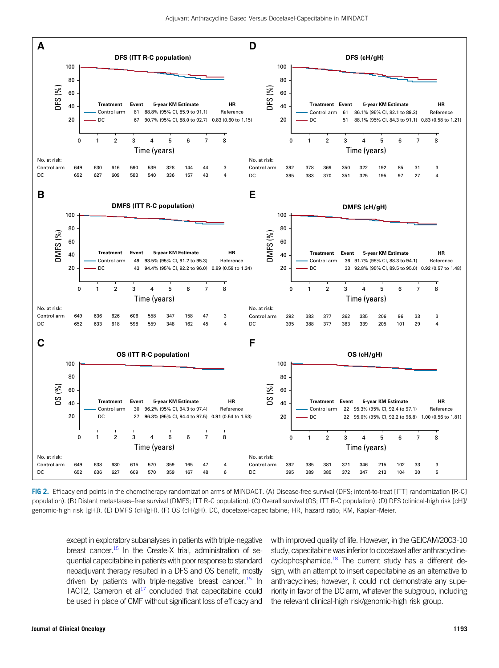

<span id="page-7-0"></span>FIG 2. Efficacy end points in the chemotherapy randomization arms of MINDACT. (A) Disease-free survival (DFS; intent-to-treat [ITT] randomization [R-C] population). (B) Distant metastases–free survival (DMFS; ITT R-C population). (C) Overall survival (OS; ITT R-C population). (D) DFS (clinical-high risk [cH]/ genomic-high risk [gH]). (E) DMFS (cH/gH). (F) OS (cH/gH). DC, docetaxel-capecitabine; HR, hazard ratio; KM, Kaplan-Meier.

except in exploratory subanalyses in patients with triple-negative breast cancer.<sup>15</sup> In the Create-X trial, administration of sequential capecitabine in patients with poor response to standard neoadjuvant therapy resulted in a DFS and OS benefit, mostly driven by patients with triple-negative breast cancer.<sup>16</sup> In TACT2, Cameron et al $17$  concluded that capecitabine could be used in place of CMF without significant loss of efficacy and

with improved quality of life. However, in the GEICAM/2003-10 study, capecitabine was inferior to docetaxel after anthracyclinecyclophosphamide.<sup>18</sup> The current study has a different design, with an attempt to insert capecitabine as an alternative to anthracyclines; however, it could not demonstrate any superiority in favor of the DC arm, whatever the subgroup, including the relevant clinical-high risk/genomic-high risk group.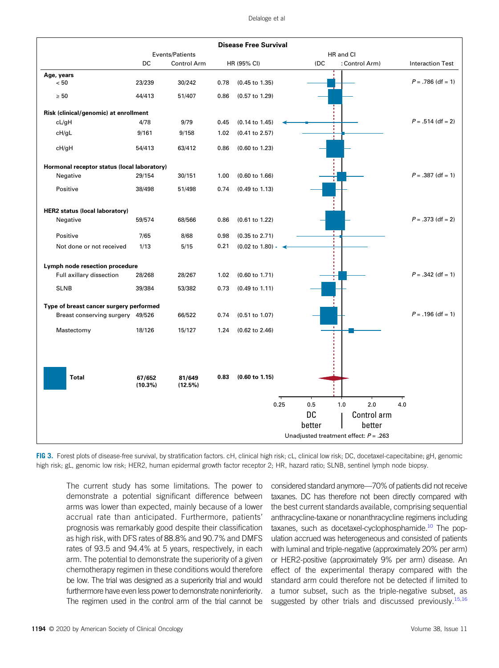| <b>Disease Free Survival</b>                |                      |                   |      |                             |      |                  |           |                                         |     |                         |
|---------------------------------------------|----------------------|-------------------|------|-----------------------------|------|------------------|-----------|-----------------------------------------|-----|-------------------------|
|                                             |                      | Events/Patients   |      |                             |      |                  | HR and CI |                                         |     |                         |
|                                             | DC                   | Control Arm       |      | HR (95% CI)                 |      | (DC              |           | : Control Arm)                          |     | <b>Interaction Test</b> |
| Age, years<br>< 50                          | 23/239               | 30/242            | 0.78 | $(0.45 \text{ to } 1.35)$   |      |                  |           |                                         |     | $P = .786$ (df = 1)     |
| $\geq 50$                                   | 44/413               | 51/407            | 0.86 | (0.57 to 1.29)              |      |                  |           |                                         |     |                         |
| Risk (clinical/genomic) at enrollment       |                      |                   |      |                             |      |                  |           |                                         |     |                         |
| cL/gH                                       | 4/78                 | 9/79              | 0.45 | $(0.14 \text{ to } 1.45)$   |      |                  |           |                                         |     | $P = .514$ (df = 2)     |
| cH/gL                                       | 9/161                | 9/158             | 1.02 | $(0.41$ to 2.57)            |      |                  |           |                                         |     |                         |
| cH/gH                                       | 54/413               | 63/412            | 0.86 | $(0.60 \text{ to } 1.23)$   |      |                  |           |                                         |     |                         |
| Hormonal receptor status (local laboratory) |                      |                   |      |                             |      |                  |           |                                         |     |                         |
| Negative                                    | 29/154               | 30/151            | 1.00 | $(0.60 \text{ to } 1.66)$   |      |                  |           |                                         |     | $P = .387$ (df = 1)     |
| Positive                                    | 38/498               | 51/498            | 0.74 | $(0.49 \text{ to } 1.13)$   |      |                  |           |                                         |     |                         |
| <b>HER2 status (local laboratory)</b>       |                      |                   |      |                             |      |                  |           |                                         |     |                         |
| Negative                                    | 59/574               | 68/566            | 0.86 | (0.61 to 1.22)              |      |                  |           |                                         |     | $P = .373$ (df = 2)     |
| Positive                                    | 7/65                 | 8/68              | 0.98 | $(0.35$ to 2.71)            |      |                  |           |                                         |     |                         |
| Not done or not received                    | 1/13                 | 5/15              | 0.21 | $(0.02 \text{ to } 1.80)$ · |      |                  |           |                                         |     |                         |
| Lymph node resection procedure              |                      |                   |      |                             |      |                  |           |                                         |     |                         |
| Full axillary dissection                    | 28/268               | 28/267            | 1.02 | (0.60 to 1.71)              |      |                  |           |                                         |     | $P = .342$ (df = 1)     |
| <b>SLNB</b>                                 | 39/384               | 53/382            | 0.73 | $(0.49 \text{ to } 1.11)$   |      |                  |           |                                         |     |                         |
| Type of breast cancer surgery performed     |                      |                   |      |                             |      |                  |           |                                         |     |                         |
| Breast conserving surgery 49/526            |                      | 66/522            | 0.74 | (0.51 to 1.07)              |      |                  |           |                                         |     | $P = .196$ (df = 1)     |
| Mastectomy                                  | 18/126               | 15/127            | 1.24 | $(0.62 \text{ to } 2.46)$   |      |                  |           |                                         |     |                         |
|                                             |                      |                   |      |                             |      |                  |           |                                         |     |                         |
|                                             |                      |                   |      |                             |      |                  |           |                                         |     |                         |
| <b>Total</b>                                | 67/652<br>$(10.3\%)$ | 81/649<br>(12.5%) | 0.83 | $(0.60 \text{ to } 1.15)$   |      |                  |           |                                         |     |                         |
|                                             |                      |                   |      |                             |      |                  |           |                                         |     |                         |
|                                             |                      |                   |      |                             | 0.25 | 0.5<br><b>DC</b> | 1.0       | 2.0<br>Control arm                      | 4.0 |                         |
|                                             |                      |                   |      |                             |      | better           |           | better                                  |     |                         |
|                                             |                      |                   |      |                             |      |                  |           | Unadjusted treatment effect: $P = .263$ |     |                         |
|                                             |                      |                   |      |                             |      |                  |           |                                         |     |                         |

<span id="page-8-0"></span>FIG 3. Forest plots of disease-free survival, by stratification factors. cH, clinical high risk; cL, clinical low risk; DC, docetaxel-capecitabine; gH, genomic high risk; gL, genomic low risk; HER2, human epidermal growth factor receptor 2; HR, hazard ratio; SLNB, sentinel lymph node biopsy.

The current study has some limitations. The power to demonstrate a potential significant difference between arms was lower than expected, mainly because of a lower accrual rate than anticipated. Furthermore, patients' prognosis was remarkably good despite their classification as high risk, with DFS rates of 88.8% and 90.7% and DMFS rates of 93.5 and 94.4% at 5 years, respectively, in each arm. The potential to demonstrate the superiority of a given chemotherapy regimen in these conditions would therefore be low. The trial was designed as a superiority trial and would furthermore have even less power to demonstrate noninferiority. The regimen used in the control arm of the trial cannot be considered standard anymore—70% of patients did not receive taxanes. DC has therefore not been directly compared with the best current standards available, comprising sequential anthracycline-taxane or nonanthracycline regimens including taxanes, such as docetaxel-cyclophosphamide.<sup>10</sup> The population accrued was heterogeneous and consisted of patients with luminal and triple-negative (approximately 20% per arm) or HER2-positive (approximately 9% per arm) disease. An effect of the experimental therapy compared with the standard arm could therefore not be detected if limited to a tumor subset, such as the triple-negative subset, as suggested by other trials and discussed previously. $15,16$  $15,16$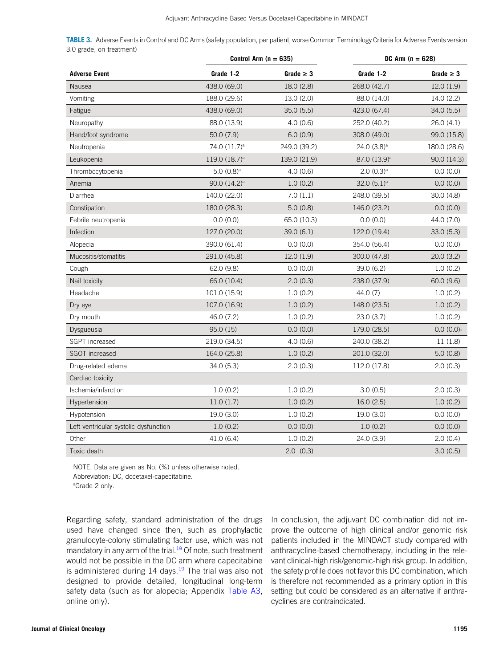<span id="page-9-0"></span>TABLE 3. Adverse Events in Control and DC Arms (safety population, per patient, worse Common Terminology Criteria for Adverse Events version 3.0 grade, on treatment)

|                                       |                           | Control Arm $(n = 635)$ | DC Arm $(n = 628)$       |                |  |
|---------------------------------------|---------------------------|-------------------------|--------------------------|----------------|--|
| <b>Adverse Event</b>                  | Grade 1-2                 | Grade $\geq 3$          | Grade 1-2                | Grade $\geq 3$ |  |
| Nausea                                | 438.0 (69.0)              | 18.0(2.8)               | 268.0 (42.7)             | 12.0(1.9)      |  |
| Vomiting                              | 188.0 (29.6)              | 13.0 (2.0)              | 88.0 (14.0)              | 14.0 (2.2)     |  |
| Fatigue                               | 438.0 (69.0)              | 35.0(5.5)               | 423.0 (67.4)             | 34.0(5.5)      |  |
| Neuropathy                            | 88.0 (13.9)               | 4.0(0.6)                | 252.0 (40.2)             | 26.0 (4.1)     |  |
| Hand/foot syndrome                    | 50.0 (7.9)                | 6.0(0.9)                | 308.0 (49.0)             | 99.0 (15.8)    |  |
| Neutropenia                           | 74.0 (11.7) <sup>a</sup>  | 249.0 (39.2)            | 24.0 (3.8) <sup>a</sup>  | 180.0 (28.6)   |  |
| Leukopenia                            | 119.0 (18.7) <sup>a</sup> | 139.0 (21.9)            | 87.0 (13.9) <sup>a</sup> | 90.0 (14.3)    |  |
| Thrombocytopenia                      | $5.0 (0.8)^a$             | 4.0(0.6)                | 2.0(0.3) <sup>a</sup>    | 0.0(0.0)       |  |
| Anemia                                | 90.0 (14.2) <sup>a</sup>  | 1.0(0.2)                | $32.0(5.1)^a$            | 0.0(0.0)       |  |
| Diarrhea                              | 140.0 (22.0)              | 7.0(1.1)                | 248.0 (39.5)             | 30.0(4.8)      |  |
| Constipation                          | 180.0 (28.3)              | 5.0(0.8)                | 146.0 (23.2)             | 0.0(0.0)       |  |
| Febrile neutropenia                   | 0.0(0.0)                  | 65.0 (10.3)             | 0.0(0.0)                 | 44.0 (7.0)     |  |
| Infection                             | 127.0 (20.0)              | 39.0(6.1)               | 122.0 (19.4)             | 33.0(5.3)      |  |
| Alopecia                              | 390.0 (61.4)              | 0.0(0.0)                | 354.0 (56.4)             | 0.0(0.0)       |  |
| Mucositis/stomatitis                  | 291.0 (45.8)              | 12.0(1.9)               | 300.0 (47.8)             | 20.0(3.2)      |  |
| Cough                                 | 62.0 (9.8)                | 0.0(0.0)                | 39.0 (6.2)               | 1.0(0.2)       |  |
| Nail toxicity                         | 66.0 (10.4)               | 2.0(0.3)                | 238.0 (37.9)             | 60.0(9.6)      |  |
| Headache                              | 101.0 (15.9)              | 1.0(0.2)                | 44.0 (7)                 | 1.0(0.2)       |  |
| Dry eye                               | 107.0 (16.9)              | 1.0(0.2)                | 148.0 (23.5)             | 1.0(0.2)       |  |
| Dry mouth                             | 46.0 (7.2)                | 1.0(0.2)                | 23.0(3.7)                | 1.0(0.2)       |  |
| Dysgueusia                            | 95.0 (15)                 | 0.0(0.0)                | 179.0 (28.5)             | $0.0$ (0.0)-   |  |
| SGPT increased                        | 219.0 (34.5)              | 4.0(0.6)                | 240.0 (38.2)             | 11(1.8)        |  |
| SGOT increased                        | 164.0 (25.8)              | 1.0(0.2)                | 201.0 (32.0)             | 5.0(0.8)       |  |
| Drug-related edema                    | 34.0 (5.3)                | 2.0(0.3)                | 112.0 (17.8)             | 2.0(0.3)       |  |
| Cardiac toxicity                      |                           |                         |                          |                |  |
| Ischemia/infarction                   | 1.0(0.2)                  | 1.0(0.2)                | 3.0(0.5)                 | 2.0(0.3)       |  |
| Hypertension                          | 11.0(1.7)                 | 1.0(0.2)                | 16.0(2.5)                | 1.0(0.2)       |  |
| Hypotension                           | 19.0(3.0)                 | 1.0(0.2)                | 19.0 (3.0)               | 0.0(0.0)       |  |
| Left ventricular systolic dysfunction | 1.0(0.2)                  | 0.0(0.0)                | 1.0(0.2)                 | 0.0(0.0)       |  |
| Other                                 | 41.0 (6.4)                | 1.0(0.2)                | 24.0 (3.9)               | 2.0(0.4)       |  |
| Toxic death                           |                           | 2.0(0.3)                |                          | 3.0(0.5)       |  |

NOTE. Data are given as No. (%) unless otherwise noted.

Abbreviation: DC, docetaxel-capecitabine.

<sup>a</sup>Grade 2 only.

Regarding safety, standard administration of the drugs used have changed since then, such as prophylactic granulocyte-colony stimulating factor use, which was not mandatory in any arm of the trial.<sup>[19](#page-11-16)</sup> Of note, such treatment would not be possible in the DC arm where capecitabine is administered during  $14$  days.<sup>[19](#page-11-16)</sup> The trial was also not designed to provide detailed, longitudinal long-term safety data (such as for alopecia; Appendix [Table A3](#page-16-0), online only).

In conclusion, the adjuvant DC combination did not improve the outcome of high clinical and/or genomic risk patients included in the MINDACT study compared with anthracycline-based chemotherapy, including in the relevant clinical-high risk/genomic-high risk group. In addition, the safety profile does not favor this DC combination, which is therefore not recommended as a primary option in this setting but could be considered as an alternative if anthracyclines are contraindicated.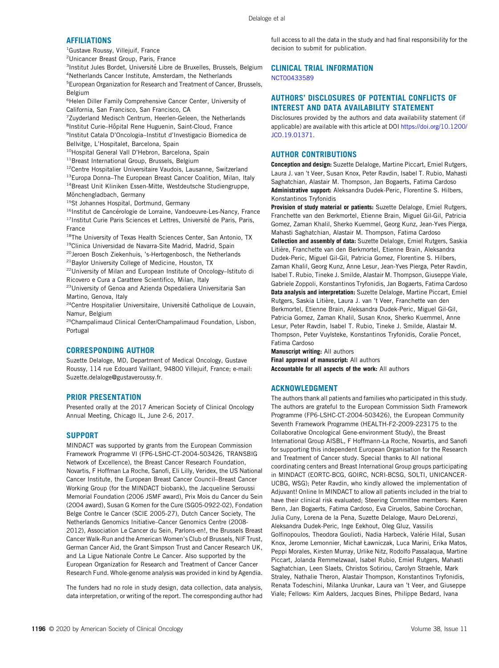#### **AFFILIATIONS**

1 Gustave Roussy, Villejuif, France

2 Unicancer Breast Group, Paris, France

<sup>3</sup>Institut Jules Bordet, Université Libre de Bruxelles, Brussels, Belgium

4 Netherlands Cancer Institute, Amsterdam, the Netherlands 5 European Organization for Research and Treatment of Cancer, Brussels, Belgium

6 Helen Diller Family Comprehensive Cancer Center, University of California, San Francisco, San Francisco, CA

<sup>7</sup>Zuyderland Medisch Centrum, Heerlen-Geleen, the Netherlands

<sup>8</sup>Institut Curie-Hôpital Rene Huguenin, Saint-Cloud, France 9 Institut Catala D'Oncologia–Institut d'Investigacio Biomedica de

Bellvitge, L'Hospitalet, Barcelona, Spain

<sup>10</sup>Hospital General Vall D'Hebron, Barcelona, Spain

<sup>11</sup>Breast International Group, Brussels, Belgium

<sup>12</sup>Centre Hospitalier Universitaire Vaudois, Lausanne, Switzerland

13Europa Donna-The European Breast Cancer Coalition, Milan, Italy 14Breast Unit Kliniken Essen-Mitte, Westdeutsche Studiengruppe, Mönchengladbach, Germany

<sup>15</sup>St Johannes Hospital, Dortmund, Germany

<sup>16</sup>Institut de Cancérologie de Lorraine, Vandoeuvre-Les-Nancy, France <sup>17</sup>Institut Curie Paris Sciences et Lettres, Université de Paris, Paris, France

18The University of Texas Health Sciences Center, San Antonio, TX <sup>19</sup>Clinica Universidad de Navarra-Site Madrid, Madrid, Spain

20Jeroen Bosch Ziekenhuis, 's-Hertogenbosch, the Netherlands

21Baylor University College of Medicine, Houston, TX

22University of Milan and European Institute of Oncology–Istituto di Ricovero e Cura a Carattere Scientifico, Milan, Italy

23University of Genoa and Azienda Ospedaliera Universitaria San Martino, Genova, Italy

<sup>24</sup>Centre Hospitalier Universitaire, Université Catholique de Louvain, Namur, Belgium

25Champalimaud Clinical Center/Champalimaud Foundation, Lisbon, Portugal

## CORRESPONDING AUTHOR

Suzette Delaloge, MD, Department of Medical Oncology, Gustave Roussy, 114 rue Edouard Vaillant, 94800 Villejuif, France; e-mail: [Suzette.delaloge@gustaveroussy.fr.](mailto:Suzette.delaloge@gustaveroussy.fr)

#### PRIOR PRESENTATION

Presented orally at the 2017 American Society of Clinical Oncology Annual Meeting, Chicago IL, June 2-6, 2017.

## **SUPPORT**

MINDACT was supported by grants from the European Commission Framework Programme VI (FP6-LSHC-CT-2004-503426, TRANSBIG Network of Excellence), the Breast Cancer Research Foundation, Novartis, F Hoffman La Roche, Sanofi, Eli Lilly, Veridex, the US National Cancer Institute, the European Breast Cancer Council–Breast Cancer Working Group (for the MINDACT biobank), the Jacqueline Seroussi Memorial Foundation (2006 JSMF award), Prix Mois du Cancer du Sein (2004 award), Susan G Komen for the Cure (SG05-0922-02), Fondation Belge Contre le Cancer (SCIE 2005-27), Dutch Cancer Society, The Netherlands Genomics Initiative–Cancer Genomics Centre (2008- 2012), Association Le Cancer du Sein, Parlons-en!, the Brussels Breast Cancer Walk-Run and the American Women's Club of Brussels, NIF Trust, German Cancer Aid, the Grant Simpson Trust and Cancer Research UK, and La Ligue Nationale Contre Le Cancer. Also supported by the European Organization for Research and Treatment of Cancer Cancer Research Fund. Whole-genome analysis was provided in kind by Agendia.

The funders had no role in study design, data collection, data analysis, data interpretation, or writing of the report. The corresponding author had

full access to all the data in the study and had final responsibility for the decision to submit for publication.

## CLINICAL TRIAL INFORMATION [NCT00433589](https://clinicaltrials.gov/ct2/show/NCT00433589)

# AUTHORS' DISCLOSURES OF POTENTIAL CONFLICTS OF INTEREST AND DATA AVAILABILITY STATEMENT

Disclosures provided by the authors and data availability statement (if applicable) are available with this article at DOI [https://doi.org/10.1200/](https://ascopubs.org/doi/full/10.1200/JCO.19.01371) [JCO.19.01371.](https://ascopubs.org/doi/full/10.1200/JCO.19.01371)

# AUTHOR CONTRIBUTIONS

Conception and design: Suzette Delaloge, Martine Piccart, Emiel Rutgers, Laura J. van 't Veer, Susan Knox, Peter Ravdin, Isabel T. Rubio, Mahasti Saghatchian, Alastair M. Thompson, Jan Bogaerts, Fatima Cardoso Administrative support: Aleksandra Dudek-Peric, Florentine S. Hilbers,

Konstantinos Tryfonidis

Provision of study material or patients: Suzette Delaloge, Emiel Rutgers, Franchette van den Berkmortel, Etienne Brain, Miguel Gil-Gil, Patricia Gomez, Zaman Khalil, Sherko Kuemmel, Georg Kunz, Jean-Yves Pierga, Mahasti Saghatchian, Alastair M. Thompson, Fatima Cardoso

Collection and assembly of data: Suzette Delaloge, Emiel Rutgers, Saskia Litière, Franchette van den Berkmortel, Etienne Brain, Aleksandra Dudek-Peric, Miguel Gil-Gil, Patricia Gomez, Florentine S. Hilbers, Zaman Khalil, Georg Kunz, Anne Lesur, Jean-Yves Pierga, Peter Ravdin, Isabel T. Rubio, Tineke J. Smilde, Alastair M. Thompson, Giuseppe Viale, Gabriele Zoppoli, Konstantinos Tryfonidis, Jan Bogaerts, Fatima Cardoso Data analysis and interpretation: Suzette Delaloge, Martine Piccart, Emiel

Rutgers, Saskia Litière, Laura J. van 't Veer, Franchette van den Berkmortel, Etienne Brain, Aleksandra Dudek-Peric, Miguel Gil-Gil, Patricia Gomez, Zaman Khalil, Susan Knox, Sherko Kuemmel, Anne Lesur, Peter Ravdin, Isabel T. Rubio, Tineke J. Smilde, Alastair M. Thompson, Peter Vuylsteke, Konstantinos Tryfonidis, Coralie Poncet, Fatima Cardoso

Manuscript writing: All authors

Final approval of manuscript: All authors Accountable for all aspects of the work: All authors

## ACKNOWLEDGMENT

The authors thank all patients and families who participated in this study. The authors are grateful to the European Commission Sixth Framework Programme (FP6-LSHC-CT-2004-503426), the European Community Seventh Framework Programme (HEALTH-F2-2009-223175 to the Collaborative Oncological Gene-environment Study), the Breast International Group AISBL, F Hoffmann-La Roche, Novartis, and Sanofi for supporting this independent European Organisation for the Research and Treatment of Cancer study. Special thanks to All national coordinating centers and Breast International Group groups participating in MINDACT (EORTC-BCG, GOIRC, NCRI-BCSG, SOLTI, UNICANCER-UCBG, WSG); Peter Ravdin, who kindly allowed the implementation of Adjuvant! Online In MINDACT to allow all patients included in the trial to have their clinical risk evaluated; Steering Committee members: Karen Benn, Jan Bogaerts, Fatima Cardoso, Eva Ciruelos, Sabine Corochan, Julia Cuny, Lorena de la Pena, Suzette Delaloge, Mauro DeLorenzi, Aleksandra Dudek-Peric, Inge Eekhout, Oleg Gluz, Vassilis Golfinopoulos, Theodora Goulioti, Nadia Harbeck, Valérie Hilal, Susan Knox, Jerome Lemonnier, Michał Ławniczak, Luca Marini, Erika Matos, Peppi Morales, Kirsten Murray, Urlike Nitz, Rodolfo Passalaqua, Martine Piccart, Jolanda Remmelzwaal, Isabel Rubio, Emiel Rutgers, Mahasti Saghatchian, Leen Slaets, Christos Sotiriou, Carolyn Straehle, Mark Straley, Nathalie Theron, Alastair Thompson, Konstantinos Tryfonidis, Renata Todeschini, Milanka Urunkar, Laura van 't Veer, and Giuseppe Viale; Fellows: Kim Aalders, Jacques Bines, Philippe Bedard, Ivana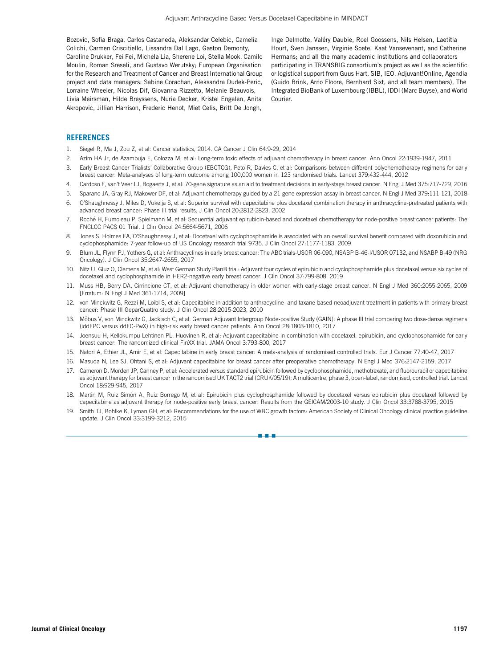Bozovic, Sofia Braga, Carlos Castaneda, Aleksandar Celebic, Camelia Colichi, Carmen Criscitiello, Lissandra Dal Lago, Gaston Demonty, Caroline Drukker, Fei Fei, Michela Lia, Sherene Loi, Stella Mook, Camilo Moulin, Roman Sreseli, and Gustavo Werutsky; European Organisation for the Research and Treatment of Cancer and Breast International Group project and data managers: Sabine Corachan, Aleksandra Dudek-Peric, Lorraine Wheeler, Nicolas Dif, Giovanna Rizzetto, Melanie Beauvois, Livia Meirsman, Hilde Breyssens, Nuria Decker, Kristel Engelen, Anita Akropovic, Jillian Harrison, Frederic Henot, Miet Celis, Britt De Jongh,

Inge Delmotte, Valéry Daubie, Roel Goossens, Nils Helsen, Laetitia Hourt, Sven Janssen, Virginie Soete, Kaat Vansevenant, and Catherine Hermans; and all the many academic institutions and collaborators participating in TRANSBIG consortium's project as well as the scientific or logistical support from Guus Hart, SIB, IEO, Adjuvant!Online, Agendia (Guido Brink, Arno Floore, Bernhard Sixt, and all team members), The Integrated BioBank of Luxembourg (IBBL), IDDI (Marc Buyse), and World Courier.

## REFERENCES

- <span id="page-11-0"></span>1. Siegel R, Ma J, Zou Z, et al: Cancer statistics, 2014. CA Cancer J Clin 64:9-29, 2014
- <span id="page-11-1"></span>2. Azim HA Jr, de Azambuja E, Colozza M, et al: Long-term toxic effects of adjuvant chemotherapy in breast cancer. Ann Oncol 22:1939-1947, 2011
- <span id="page-11-2"></span>3. Early Breast Cancer Trialists' Collaborative Group (EBCTCG), Peto R, Davies C, et al: Comparisons between different polychemotherapy regimens for early breast cancer: Meta-analyses of long-term outcome among 100,000 women in 123 randomised trials. Lancet 379:432-444, 2012
- <span id="page-11-3"></span>4. Cardoso F, van't Veer LJ, Bogaerts J, et al: 70-gene signature as an aid to treatment decisions in early-stage breast cancer. N Engl J Med 375:717-729, 2016
- <span id="page-11-4"></span>5. Sparano JA, Gray RJ, Makower DF, et al: Adjuvant chemotherapy guided by a 21-gene expression assay in breast cancer. N Engl J Med 379:111-121, 2018
- <span id="page-11-5"></span>6. O'Shaughnessy J, Miles D, Vukelja S, et al: Superior survival with capecitabine plus docetaxel combination therapy in anthracycline-pretreated patients with advanced breast cancer: Phase III trial results. J Clin Oncol 20:2812-2823, 2002
- <span id="page-11-6"></span>7. Roché H, Fumoleau P, Spielmann M, et al: Sequential adjuvant epirubicin-based and docetaxel chemotherapy for node-positive breast cancer patients: The FNCLCC PACS 01 Trial. J Clin Oncol 24:5664-5671, 2006
- <span id="page-11-7"></span>8. Jones S, Holmes FA, O'Shaughnessy J, et al: Docetaxel with cyclophosphamide is associated with an overall survival benefit compared with doxorubicin and cyclophosphamide: 7-year follow-up of US Oncology research trial 9735. J Clin Oncol 27:1177-1183, 2009
- <span id="page-11-8"></span>9. Blum JL, Flynn PJ, Yothers G, et al: Anthracyclines in early breast cancer: The ABC trials-USOR 06-090, NSABP B-46-I/USOR 07132, and NSABP B-49 (NRG Oncology). J Clin Oncol 35:2647-2655, 2017
- <span id="page-11-9"></span>10. Nitz U, Gluz O, Clemens M, et al: West German Study PlanB trial: Adjuvant four cycles of epirubicin and cyclophosphamide plus docetaxel versus six cycles of docetaxel and cyclophosphamide in HER2-negative early breast cancer. J Clin Oncol 37:799-808, 2019
- <span id="page-11-10"></span>11. Muss HB, Berry DA, Cirrincione CT, et al: Adjuvant chemotherapy in older women with early-stage breast cancer. N Engl J Med 360:2055-2065, 2009 [Erratum: N Engl J Med 361:1714, 2009]
- 12. von Minckwitz G, Rezai M, Loibl S, et al: Capecitabine in addition to anthracycline- and taxane-based neoadjuvant treatment in patients with primary breast cancer: Phase III GeparQuattro study. J Clin Oncol 28:2015-2023, 2010
- 13. Möbus V, von Minckwitz G, Jackisch C, et al: German Adjuvant Intergroup Node-positive Study (GAIN): A phase III trial comparing two dose-dense regimens (iddEPC versus ddEC-PwX) in high-risk early breast cancer patients. Ann Oncol 28:1803-1810, 2017
- <span id="page-11-11"></span>14. Joensuu H, Kellokumpu-Lehtinen PL, Huovinen R, et al: Adjuvant capecitabine in combination with docetaxel, epirubicin, and cyclophosphamide for early breast cancer: The randomized clinical FinXX trial. JAMA Oncol 3:793-800, 2017
- <span id="page-11-12"></span>15. Natori A, Ethier JL, Amir E, et al: Capecitabine in early breast cancer: A meta-analysis of randomised controlled trials. Eur J Cancer 77:40-47, 2017
- <span id="page-11-13"></span>16. Masuda N, Lee SJ, Ohtani S, et al: Adjuvant capecitabine for breast cancer after preoperative chemotherapy. N Engl J Med 376:2147-2159, 2017
- <span id="page-11-14"></span>17. Cameron D, Morden JP, Canney P, et al: Accelerated versus standard epirubicin followed by cyclophosphamide, methotrexate, and fluorouracil or capecitabine as adjuvant therapy for breast cancer in the randomised UK TACT2 trial (CRUK/05/19): A multicentre, phase 3, open-label, randomised, controlled trial. Lancet Oncol 18:929-945, 2017
- <span id="page-11-15"></span>18. Martín M, Ruiz Simón A, Ruiz Borrego M, et al: Epirubicin plus cyclophosphamide followed by docetaxel versus epirubicin plus docetaxel followed by capecitabine as adjuvant therapy for node-positive early breast cancer: Results from the GEICAM/2003-10 study. J Clin Oncol 33:3788-3795, 2015
- <span id="page-11-16"></span>19. Smith TJ, Bohlke K, Lyman GH, et al: Recommendations for the use of WBC growth factors: American Society of Clinical Oncology clinical practice guideline update. J Clin Oncol 33:3199-3212, 2015

n-a-a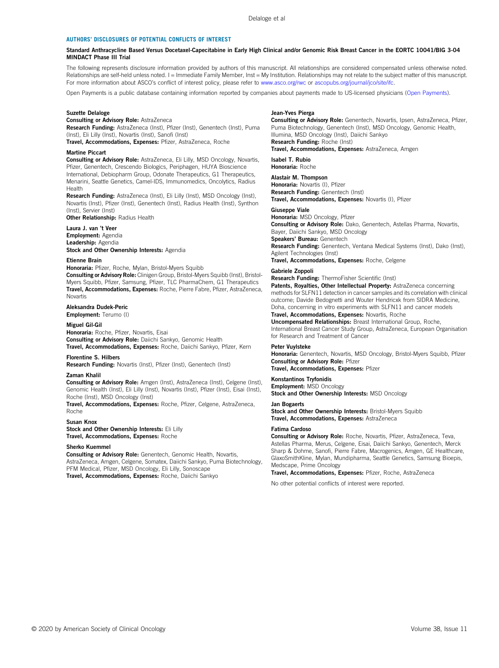#### AUTHORS' DISCLOSURES OF POTENTIAL CONFLICTS OF INTEREST

#### Standard Anthracycline Based Versus Docetaxel-Capecitabine in Early High Clinical and/or Genomic Risk Breast Cancer in the EORTC 10041/BIG 3-04 MINDACT Phase III Trial

The following represents disclosure information provided by authors of this manuscript. All relationships are considered compensated unless otherwise noted. Relationships are self-held unless noted. I = Immediate Family Member, Inst = My Institution. Relationships may not relate to the subject matter of this manuscript. For more information about ASCO's conflict of interest policy, please refer to [www.asco.org/rwc](http://www.asco.org/rwc) or [ascopubs.org/journal/jco/site/ifc.](http://ascopubs.org/journal/jco/site/ifc)

Open Payments is a public database containing information reported by companies about payments made to US-licensed physicians [\(Open Payments](https://openpaymentsdata.cms.gov/)).

#### Suzette Delaloge

Consulting or Advisory Role: AstraZeneca Research Funding: AstraZeneca (Inst), Pfizer (Inst), Genentech (Inst), Puma

(Inst), Eli Lilly (Inst), Novartis (Inst), Sanofi (Inst) Travel, Accommodations, Expenses: Pfizer, AstraZeneca, Roche

#### Martine Piccart

Consulting or Advisory Role: AstraZeneca, Eli Lilly, MSD Oncology, Novartis, Pfizer, Genentech, Crescendo Biologics, Periphagen, HUYA Bioscience International, Debiopharm Group, Odonate Therapeutics, G1 Therapeutics, Menarini, Seattle Genetics, Camel-IDS, Immunomedics, Oncolytics, Radius Health

Research Funding: AstraZeneca (Inst), Eli Lilly (Inst), MSD Oncology (Inst), Novartis (Inst), Pfizer (Inst), Genentech (Inst), Radius Health (Inst), Synthon (Inst), Servier (Inst)

Other Relationship: Radius Health

#### Laura J. van 't Veer

Employment: Agendia Leadership: Agendia Stock and Other Ownership Interests: Agendia

#### Etienne Brain

Honoraria: Pfizer, Roche, Mylan, Bristol-Myers Squibb

Consulting or Advisory Role: Clinigen Group, Bristol-Myers Squibb (Inst), Bristol-Myers Squibb, Pfizer, Samsung, Pfizer, TLC PharmaChem, G1 Therapeutics Travel, Accommodations, Expenses: Roche, Pierre Fabre, Pfizer, AstraZeneca, Novartis

#### Aleksandra Dudek-Peric Employment: Terumo (I)

#### Miguel Gil-Gil

Honoraria: Roche, Pfizer, Novartis, Eisai Consulting or Advisory Role: Daiichi Sankyo, Genomic Health Travel, Accommodations, Expenses: Roche, Daiichi Sankyo, Pfizer, Kern

#### Florentine S. Hilbers

Research Funding: Novartis (Inst), Pfizer (Inst), Genentech (Inst)

#### Zaman Khalil

Consulting or Advisory Role: Amgen (Inst), AstraZeneca (Inst), Celgene (Inst), Genomic Health (Inst), Eli Lilly (Inst), Novartis (Inst), Pfizer (Inst), Eisai (Inst), Roche (Inst), MSD Oncology (Inst)

Travel, Accommodations, Expenses: Roche, Pfizer, Celgene, AstraZeneca, Roche

Susan Knox Stock and Other Ownership Interests: Eli Lilly Travel, Accommodations, Expenses: Roche

#### Sherko Kuemmel

Consulting or Advisory Role: Genentech, Genomic Health, Novartis, AstraZeneca, Amgen, Celgene, Somatex, Daiichi Sankyo, Puma Biotechnology, PFM Medical, Pfizer, MSD Oncology, Eli Lilly, Sonoscape Travel, Accommodations, Expenses: Roche, Daiichi Sankyo

#### Jean-Yves Pierga

Consulting or Advisory Role: Genentech, Novartis, Ipsen, AstraZeneca, Pfizer, Puma Biotechnology, Genentech (Inst), MSD Oncology, Genomic Health, Illumina, MSD Oncology (Inst), Daiichi Sankyo Research Funding: Roche (Inst) Travel, Accommodations, Expenses: AstraZeneca, Amgen

Isabel T. Rubio Honoraria: Roche

Alastair M. Thompson Honoraria: Novartis (I), Pfizer Research Funding: Genentech (Inst) Travel, Accommodations, Expenses: Novartis (I), Pfizer

#### Giuseppe Viale

Honoraria: MSD Oncology, Pfizer Consulting or Advisory Role: Dako, Genentech, Astellas Pharma, Novartis, Bayer, Daiichi Sankyo, MSD Oncology Speakers' Bureau: Genentech Research Funding: Genentech, Ventana Medical Systems (Inst), Dako (Inst), Agilent Technologies (Inst)

Travel, Accommodations, Expenses: Roche, Celgene

#### Gabriele Zoppoli

Research Funding: ThermoFisher Scientific (Inst)

Patents, Royalties, Other Intellectual Property: AstraZeneca concerning methods for SLFN11 detection in cancer samples and its correlation with clinical outcome; Davide Bedognetti and Wouter Hendricxk from SIDRA Medicine, Doha, concerning in vitro experiments with SLFN11 and cancer models Travel, Accommodations, Expenses: Novartis, Roche

Uncompensated Relationships: Breast International Group, Roche,

International Breast Cancer Study Group, AstraZeneca, European Organisation for Research and Treatment of Cancer

#### Peter Vuylsteke

Honoraria: Genentech, Novartis, MSD Oncology, Bristol-Myers Squibb, Pfizer Consulting or Advisory Role: Pfizer Travel, Accommodations, Expenses: Pfizer

#### Konstantinos Tryfonidis

Employment: MSD Oncology Stock and Other Ownership Interests: MSD Oncology

#### Jan Bogaerts

Stock and Other Ownership Interests: Bristol-Myers Squibb Travel, Accommodations, Expenses: AstraZeneca

#### Fatima Cardoso

Consulting or Advisory Role: Roche, Novartis, Pfizer, AstraZeneca, Teva, Astellas Pharma, Merus, Celgene, Eisai, Daiichi Sankyo, Genentech, Merck Sharp & Dohme, Sanofi, Pierre Fabre, Macrogenics, Amgen, GE Healthcare, GlaxoSmithKline, Mylan, Mundipharma, Seattle Genetics, Samsung Bioepis, Medscape, Prime Oncology

Travel, Accommodations, Expenses: Pfizer, Roche, AstraZeneca

No other potential conflicts of interest were reported.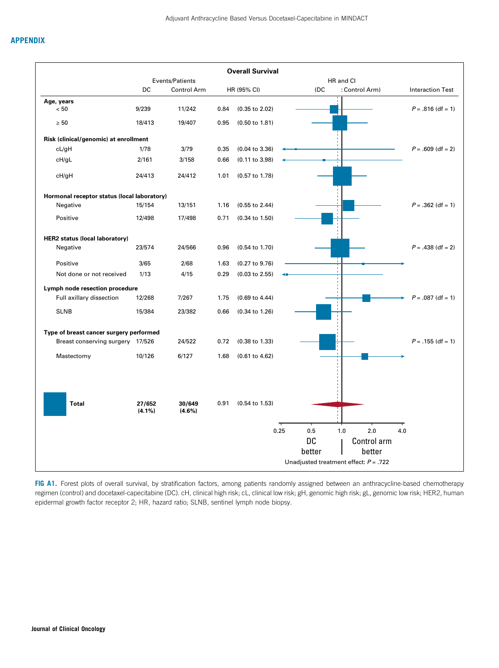# APPENDIX

| <b>Overall Survival</b>                     |                 |             |      |                           |      |        |                                         |     |                         |  |
|---------------------------------------------|-----------------|-------------|------|---------------------------|------|--------|-----------------------------------------|-----|-------------------------|--|
|                                             | Events/Patients |             |      |                           |      |        | HR and CI                               |     |                         |  |
|                                             | DC              | Control Arm |      | HR (95% CI)               |      | (DC    | : Control Arm)                          |     | <b>Interaction Test</b> |  |
| Age, years                                  |                 |             |      |                           |      |        |                                         |     |                         |  |
| < 50                                        | 9/239           | 11/242      | 0.84 | (0.35 to 2.02)            |      |        |                                         |     | $P = .816$ (df = 1)     |  |
| $\geq 50$                                   | 18/413          | 19/407      | 0.95 | $(0.50 \text{ to } 1.81)$ |      |        |                                         |     |                         |  |
| Risk (clinical/genomic) at enrollment       |                 |             |      |                           |      |        |                                         |     |                         |  |
| cL/gH                                       | 1/78            | 3/79        | 0.35 | (0.04 to 3.36)            |      |        |                                         |     | $P = .609$ (df = 2)     |  |
| cH/gL                                       | 2/161           | 3/158       | 0.66 | (0.11 to 3.98)            |      |        |                                         |     |                         |  |
| cH/gH                                       | 24/413          | 24/412      | 1.01 | (0.57 to 1.78)            |      |        |                                         |     |                         |  |
| Hormonal receptor status (local laboratory) |                 |             |      |                           |      |        |                                         |     |                         |  |
| Negative                                    | 15/154          | 13/151      | 1.16 | $(0.55$ to 2.44)          |      |        |                                         |     | $P = .362$ (df = 1)     |  |
| Positive                                    | 12/498          | 17/498      | 0.71 | $(0.34 \text{ to } 1.50)$ |      |        |                                         |     |                         |  |
| <b>HER2 status (local laboratory)</b>       |                 |             |      |                           |      |        |                                         |     |                         |  |
| Negative                                    | 23/574          | 24/566      | 0.96 | (0.54 to 1.70)            |      |        |                                         |     | $P = .438$ (df = 2)     |  |
| Positive                                    | 3/65            | 2/68        | 1.63 | (0.27 to 9.76)            |      |        |                                         |     |                         |  |
| Not done or not received                    | 1/13            | 4/15        | 0.29 | $(0.03 \text{ to } 2.55)$ |      |        |                                         |     |                         |  |
| Lymph node resection procedure              |                 |             |      |                           |      |        |                                         |     |                         |  |
| Full axillary dissection                    | 12/268          | 7/267       | 1.75 | $(0.69 \text{ to } 4.44)$ |      |        |                                         |     | $P = .087$ (df = 1)     |  |
| <b>SLNB</b>                                 | 15/384          | 23/382      | 0.66 | $(0.34 \text{ to } 1.26)$ |      |        |                                         |     |                         |  |
| Type of breast cancer surgery performed     |                 |             |      |                           |      |        |                                         |     |                         |  |
| Breast conserving surgery 17/526            |                 | 24/522      | 0.72 | $(0.38 \text{ to } 1.33)$ |      |        |                                         |     | $P = .155$ (df = 1)     |  |
| Mastectomy                                  | 10/126          | 6/127       | 1.68 | (0.61 to 4.62)            |      |        |                                         |     |                         |  |
|                                             |                 |             |      |                           |      |        |                                         |     |                         |  |
|                                             |                 |             |      |                           |      |        |                                         |     |                         |  |
| <b>Total</b>                                | 27/652          | 30/649      | 0.91 | (0.54 to 1.53)            |      |        |                                         |     |                         |  |
|                                             | $(4.1\%)$       | $(4.6\%)$   |      |                           |      |        |                                         |     |                         |  |
|                                             |                 |             |      |                           | 0.25 | 0.5    | 2.0<br>1.0                              | 4.0 |                         |  |
|                                             |                 |             |      |                           |      | DC     | Control arm                             |     |                         |  |
|                                             |                 |             |      |                           |      | better | better                                  |     |                         |  |
|                                             |                 |             |      |                           |      |        | Unadjusted treatment effect: $P = .722$ |     |                         |  |
|                                             |                 |             |      |                           |      |        |                                         |     |                         |  |

<span id="page-13-0"></span>FIG A1. Forest plots of overall survival, by stratification factors, among patients randomly assigned between an anthracycline-based chemotherapy regimen (control) and docetaxel-capecitabine (DC). cH, clinical high risk; cL, clinical low risk; gH, genomic high risk; gL, genomic low risk; HER2, human epidermal growth factor receptor 2; HR, hazard ratio; SLNB, sentinel lymph node biopsy.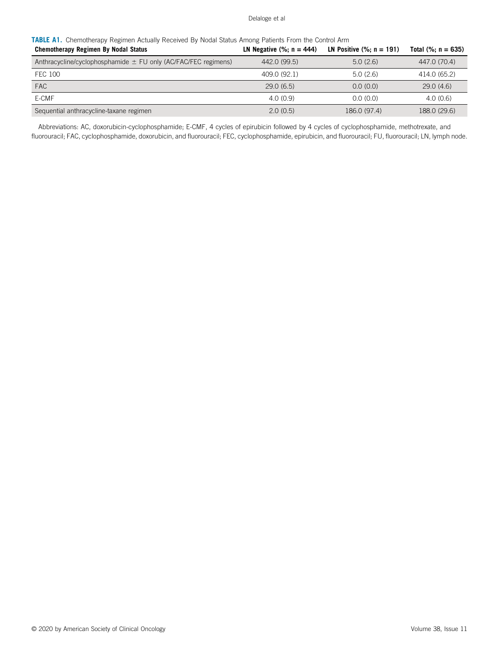Delaloge et al

<span id="page-14-0"></span>TABLE A1. Chemotherapy Regimen Actually Received By Nodal Status Among Patients From the Control Arm

| <b>Chemotherapy Regimen By Nodal Status</b>                        | LN Negative $(\%; n = 444)$ | LN Positive $(\%; n = 191)$ | Total $(%: n = 635)$ |
|--------------------------------------------------------------------|-----------------------------|-----------------------------|----------------------|
| Anthracycline/cyclophosphamide $\pm$ FU only (AC/FAC/FEC regimens) | 442.0 (99.5)                | 5.0(2.6)                    | 447.0 (70.4)         |
| <b>FEC 100</b>                                                     | 409.0 (92.1)                | 5.0(2.6)                    | 414.0 (65.2)         |
| <b>FAC</b>                                                         | 29.0(6.5)                   | 0.0(0.0)                    | 29.0(4.6)            |
| E-CMF                                                              | 4.0(0.9)                    | 0.0(0.0)                    | 4.0(0.6)             |
| Sequential anthracycline-taxane regimen                            | 2.0(0.5)                    | 186.0 (97.4)                | 188.0 (29.6)         |

Abbreviations: AC, doxorubicin-cyclophosphamide; E-CMF, 4 cycles of epirubicin followed by 4 cycles of cyclophosphamide, methotrexate, and fluorouracil; FAC, cyclophosphamide, doxorubicin, and fluorouracil; FEC, cyclophosphamide, epirubicin, and fluorouracil; FU, fluorouracil; LN, lymph node.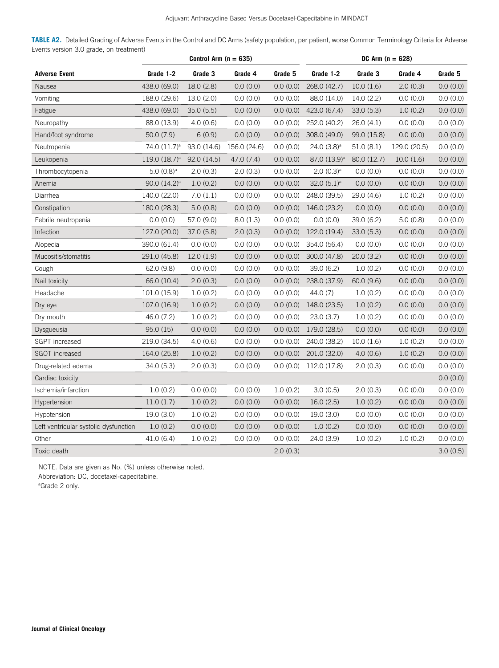<span id="page-15-0"></span>TABLE A2. Detailed Grading of Adverse Events in the Control and DC Arms (safety population, per patient, worse Common Terminology Criteria for Adverse Events version 3.0 grade, on treatment)

|                                       |                            | Control Arm $(n = 635)$ |              |          | DC Arm $(n = 628)$       |             |              |          |  |  |
|---------------------------------------|----------------------------|-------------------------|--------------|----------|--------------------------|-------------|--------------|----------|--|--|
| <b>Adverse Event</b>                  | Grade 1-2                  | Grade 3                 | Grade 4      | Grade 5  | Grade 1-2                | Grade 3     | Grade 4      | Grade 5  |  |  |
| Nausea                                | 438.0 (69.0)               | 18.0 (2.8)              | 0.0(0.0)     | 0.0(0.0) | 268.0 (42.7)             | 10.0(1.6)   | 2.0(0.3)     | 0.0(0.0) |  |  |
| Vomiting                              | 188.0 (29.6)               | 13.0 (2.0)              | 0.0(0.0)     | 0.0(0.0) | 88.0 (14.0)              | 14.0(2.2)   | 0.0(0.0)     |          |  |  |
| Fatigue                               | 438.0 (69.0)               | 35.0(5.5)               | 0.0(0.0)     | 0.0(0.0) | 423.0 (67.4)             | 33.0 (5.3)  | 1.0(0.2)     | 0.0(0.0) |  |  |
| Neuropathy                            | 88.0 (13.9)                | 4.0(0.6)                | 0.0(0.0)     | 0.0(0.0) | 252.0 (40.2)             | 26.0(4.1)   | 0.0(0.0)     | 0.0(0.0) |  |  |
| Hand/foot syndrome                    | 50.0 (7.9)                 | 6(0.9)                  | 0.0(0.0)     | 0.0(0.0) | 308.0 (49.0)             | 99.0 (15.8) | 0.0(0.0)     | 0.0(0.0) |  |  |
| Neutropenia                           | 74.0 (11.7) <sup>a</sup>   | 93.0 (14.6)             | 156.0 (24.6) | 0.0(0.0) | $24.0(3.8)^a$            | 51.0(8.1)   | 129.0 (20.5) | 0.0(0.0) |  |  |
| Leukopenia                            | $119.0(18.7)$ <sup>a</sup> | 92.0 (14.5)             | 47.0 (7.4)   | 0.0(0.0) | 87.0 (13.9) <sup>a</sup> | 80.0 (12.7) | 10.0(1.6)    | 0.0(0.0) |  |  |
| Thrombocytopenia                      | $5.0 (0.8)^a$              | 2.0(0.3)                | 2.0(0.3)     | 0.0(0.0) | 2.0 (0.3) <sup>a</sup>   | 0.0(0.0)    | 0.0(0.0)     | 0.0(0.0) |  |  |
| Anemia                                | 90.0 (14.2) <sup>a</sup>   | 1.0(0.2)                | 0.0(0.0)     | 0.0(0.0) | 32.0 $(5.1)^a$           | 0.0(0.0)    | 0.0(0.0)     | 0.0(0.0) |  |  |
| Diarrhea                              | 140.0 (22.0)               | 7.0(1.1)                | 0.0(0.0)     | 0.0(0.0) | 248.0 (39.5)             | 29.0 (4.6)  | 1.0(0.2)     | 0.0(0.0) |  |  |
| Constipation                          | 180.0 (28.3)               | 5.0(0.8)                | 0.0(0.0)     | 0.0(0.0) | 146.0 (23.2)             | 0.0(0.0)    | 0.0(0.0)     | 0.0(0.0) |  |  |
| Febrile neutropenia                   | 0.0(0.0)                   | 57.0 (9.0)              | 8.0(1.3)     | 0.0(0.0) | 0.0(0.0)                 | 39.0 (6.2)  | 5.0(0.8)     | 0.0(0.0) |  |  |
| Infection                             | 127.0 (20.0)               | 37.0(5.8)               | 2.0(0.3)     | 0.0(0.0) | 122.0 (19.4)             | 33.0(5.3)   | 0.0(0.0)     | 0.0(0.0) |  |  |
| Alopecia                              | 390.0 (61.4)               | 0.0(0.0)                | 0.0(0.0)     | 0.0(0.0) | 354.0 (56.4)             | 0.0(0.0)    | 0.0(0.0)     | 0.0(0.0) |  |  |
| Mucositis/stomatitis                  | 291.0 (45.8)               | 12.0(1.9)               | 0.0(0.0)     | 0.0(0.0) | 300.0 (47.8)             | 20.0(3.2)   | 0.0(0.0)     | 0.0(0.0) |  |  |
| Cough                                 | 62.0(9.8)                  | 0.0(0.0)                | 0.0(0.0)     | 0.0(0.0) | 39.0 (6.2)               | 1.0(0.2)    | 0.0(0.0)     | 0.0(0.0) |  |  |
| Nail toxicity                         | 66.0 (10.4)                | 2.0(0.3)                | 0.0(0.0)     | 0.0(0.0) | 238.0 (37.9)             | 60.0(9.6)   | 0.0(0.0)     | 0.0(0.0) |  |  |
| Headache                              | 101.0 (15.9)               | 1.0(0.2)                | 0.0(0.0)     | 0.0(0.0) | 44.0(7)                  | 1.0(0.2)    | 0.0(0.0)     | 0.0(0.0) |  |  |
| Dry eye                               | 107.0 (16.9)               | 1.0(0.2)                | 0.0(0.0)     | 0.0(0.0) | 148.0 (23.5)             | 1.0(0.2)    | 0.0(0.0)     | 0.0(0.0) |  |  |
| Dry mouth                             | 46.0 (7.2)                 | 1.0(0.2)                | 0.0(0.0)     | 0.0(0.0) | 23.0(3.7)                | 1.0(0.2)    | 0.0(0.0)     | 0.0(0.0) |  |  |
| Dysgueusia                            | 95.0(15)                   | 0.0(0.0)                | 0.0(0.0)     | 0.0(0.0) | 179.0 (28.5)             | 0.0(0.0)    | 0.0(0.0)     | 0.0(0.0) |  |  |
| SGPT increased                        | 219.0 (34.5)               | 4.0(0.6)                | 0.0(0.0)     | 0.0(0.0) | 240.0 (38.2)             | 10.0(1.6)   | 1.0(0.2)     | 0.0(0.0) |  |  |
| SGOT increased                        | 164.0 (25.8)               | 1.0(0.2)                | 0.0(0.0)     | 0.0(0.0) | 201.0 (32.0)             | 4.0(0.6)    | 1.0(0.2)     | 0.0(0.0) |  |  |
| Drug-related edema                    | 34.0 (5.3)                 | 2.0(0.3)                | 0.0(0.0)     | 0.0(0.0) | 112.0 (17.8)             | 2.0(0.3)    | 0.0(0.0)     | 0.0(0.0) |  |  |
| Cardiac toxicity                      |                            |                         |              |          |                          |             |              | 0.0(0.0) |  |  |
| Ischemia/infarction                   | 1.0(0.2)                   | 0.0(0.0)                | 0.0(0.0)     | 1.0(0.2) | 3.0(0.5)                 | 2.0(0.3)    | 0.0(0.0)     | 0.0(0.0) |  |  |
| Hypertension                          | 11.0(1.7)                  | 1.0(0.2)                | 0.0(0.0)     | 0.0(0.0) | 16.0(2.5)                | 1.0(0.2)    | 0.0(0.0)     | 0.0(0.0) |  |  |
| Hypotension                           | 19.0 (3.0)                 | 1.0(0.2)                | 0.0(0.0)     | 0.0(0.0) | 19.0 (3.0)               | 0.0(0.0)    | 0.0(0.0)     | 0.0(0.0) |  |  |
| Left ventricular systolic dysfunction | 1.0(0.2)                   | 0.0(0.0)                | 0.0(0.0)     | 0.0(0.0) | 1.0(0.2)                 | 0.0(0.0)    | 0.0(0.0)     | 0.0(0.0) |  |  |
| Other                                 | 41.0(6.4)                  | 1.0(0.2)                | 0.0(0.0)     | 0.0(0.0) | 24.0 (3.9)               | 1.0(0.2)    | 1.0(0.2)     | 0.0(0.0) |  |  |
| Toxic death                           |                            |                         |              | 2.0(0.3) |                          |             |              | 3.0(0.5) |  |  |

NOTE. Data are given as No. (%) unless otherwise noted.

Abbreviation: DC, docetaxel-capecitabine.

<sup>a</sup>Grade 2 only.